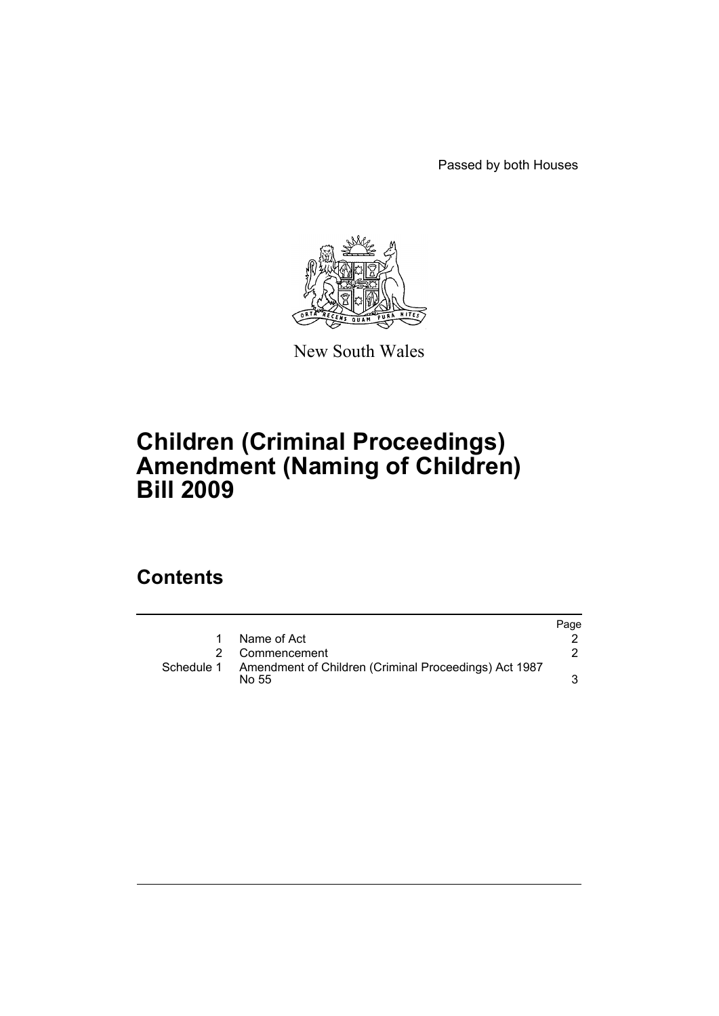Passed by both Houses



New South Wales

## **Children (Criminal Proceedings) Amendment (Naming of Children) Bill 2009**

### **Contents**

|            |                                                                | Page |
|------------|----------------------------------------------------------------|------|
|            | Name of Act                                                    |      |
|            | 2 Commencement                                                 |      |
| Schedule 1 | Amendment of Children (Criminal Proceedings) Act 1987<br>No 55 |      |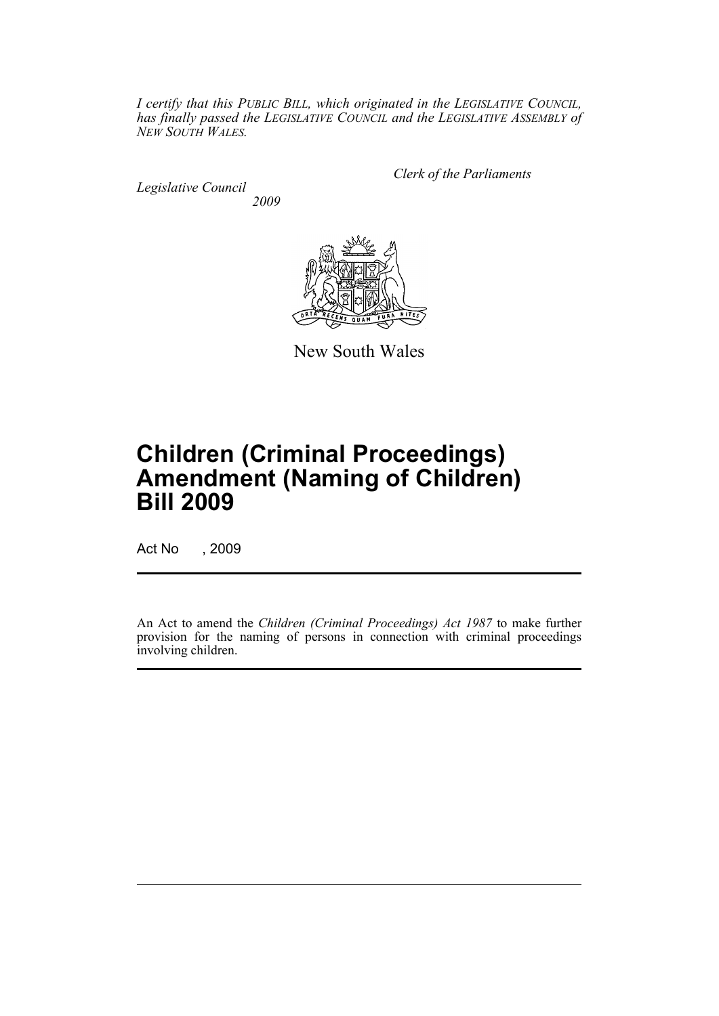*I certify that this PUBLIC BILL, which originated in the LEGISLATIVE COUNCIL, has finally passed the LEGISLATIVE COUNCIL and the LEGISLATIVE ASSEMBLY of NEW SOUTH WALES.*

*Legislative Council 2009* *Clerk of the Parliaments*



New South Wales

# **Children (Criminal Proceedings) Amendment (Naming of Children) Bill 2009**

Act No , 2009

An Act to amend the *Children (Criminal Proceedings) Act 1987* to make further provision for the naming of persons in connection with criminal proceedings involving children.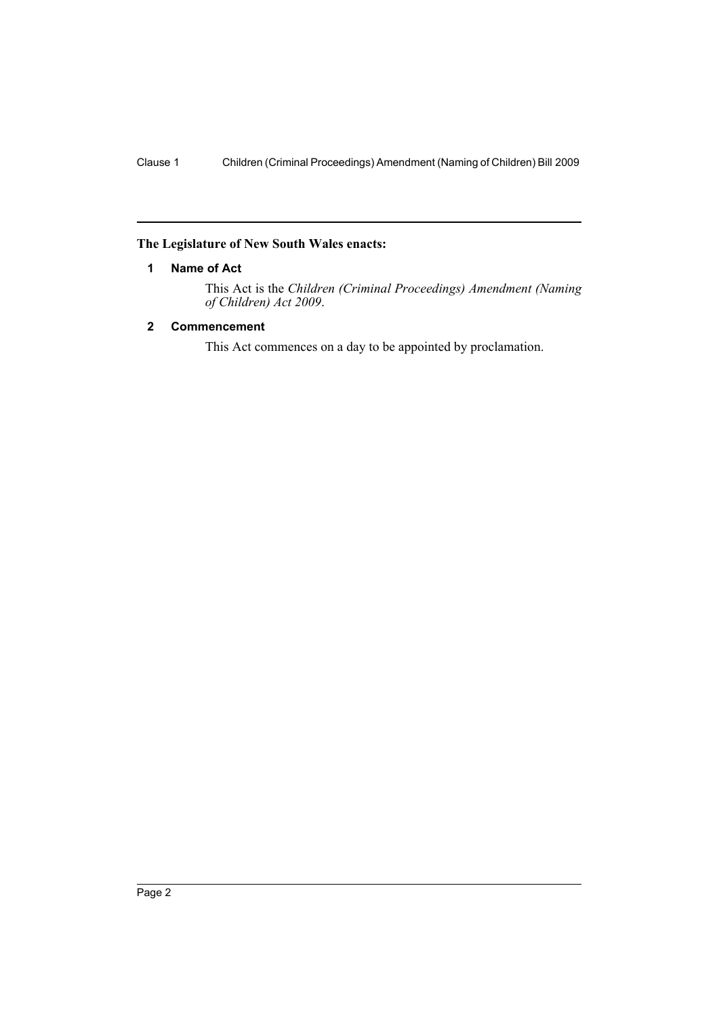#### <span id="page-2-0"></span>**The Legislature of New South Wales enacts:**

#### **1 Name of Act**

This Act is the *Children (Criminal Proceedings) Amendment (Naming of Children) Act 2009*.

#### <span id="page-2-1"></span>**2 Commencement**

This Act commences on a day to be appointed by proclamation.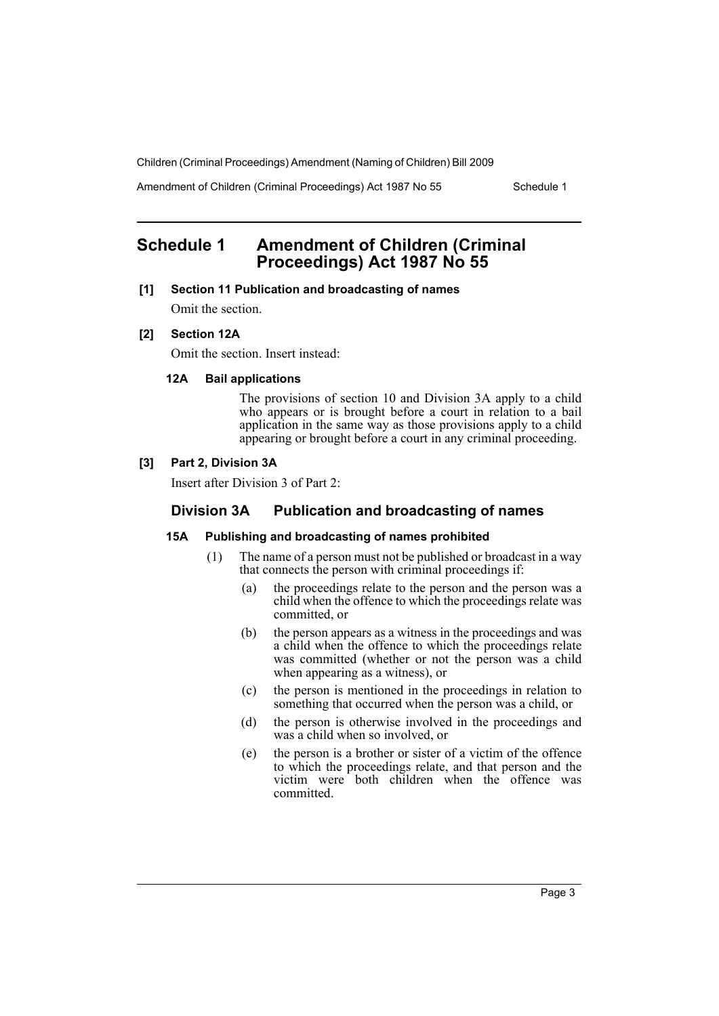Amendment of Children (Criminal Proceedings) Act 1987 No 55 Schedule 1

### <span id="page-3-0"></span>**Schedule 1 Amendment of Children (Criminal Proceedings) Act 1987 No 55**

#### **[1] Section 11 Publication and broadcasting of names**

Omit the section.

#### **[2] Section 12A**

Omit the section. Insert instead:

#### **12A Bail applications**

The provisions of section 10 and Division 3A apply to a child who appears or is brought before a court in relation to a bail application in the same way as those provisions apply to a child appearing or brought before a court in any criminal proceeding.

#### **[3] Part 2, Division 3A**

Insert after Division 3 of Part 2:

#### **Division 3A Publication and broadcasting of names**

#### **15A Publishing and broadcasting of names prohibited**

- (1) The name of a person must not be published or broadcast in a way that connects the person with criminal proceedings if:
	- (a) the proceedings relate to the person and the person was a child when the offence to which the proceedings relate was committed, or
	- (b) the person appears as a witness in the proceedings and was a child when the offence to which the proceedings relate was committed (whether or not the person was a child when appearing as a witness), or
	- (c) the person is mentioned in the proceedings in relation to something that occurred when the person was a child, or
	- (d) the person is otherwise involved in the proceedings and was a child when so involved, or
	- (e) the person is a brother or sister of a victim of the offence to which the proceedings relate, and that person and the victim were both children when the offence was committed.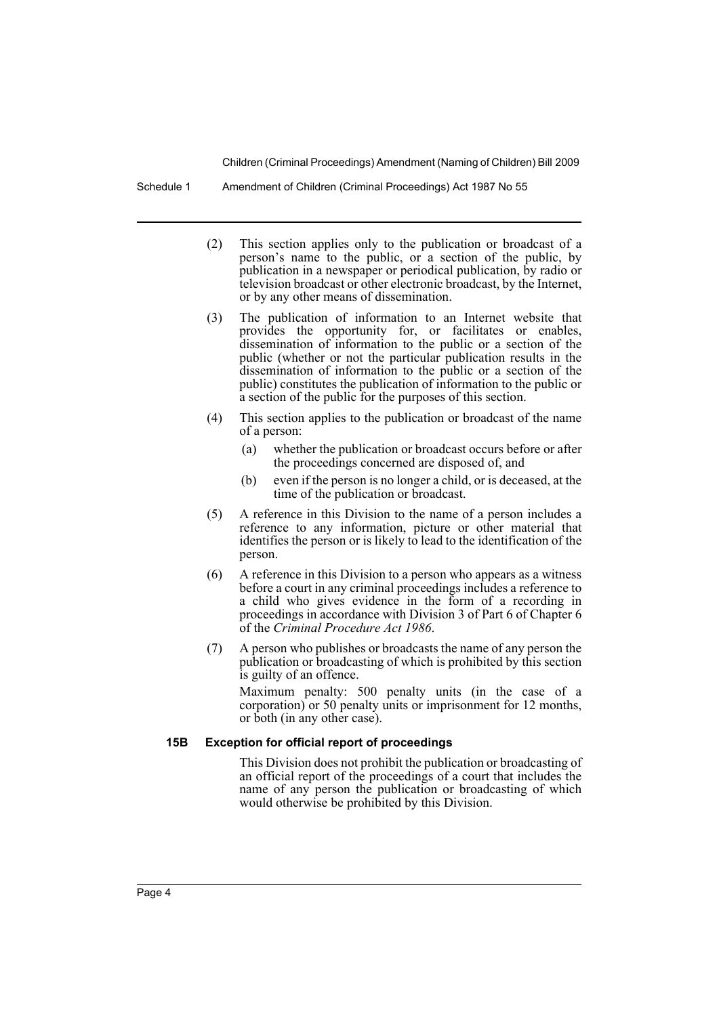Schedule 1 Amendment of Children (Criminal Proceedings) Act 1987 No 55

- (2) This section applies only to the publication or broadcast of a person's name to the public, or a section of the public, by publication in a newspaper or periodical publication, by radio or television broadcast or other electronic broadcast, by the Internet, or by any other means of dissemination.
- (3) The publication of information to an Internet website that provides the opportunity for, or facilitates or enables, dissemination of information to the public or a section of the public (whether or not the particular publication results in the dissemination of information to the public or a section of the public) constitutes the publication of information to the public or a section of the public for the purposes of this section.
- (4) This section applies to the publication or broadcast of the name of a person:
	- (a) whether the publication or broadcast occurs before or after the proceedings concerned are disposed of, and
	- (b) even if the person is no longer a child, or is deceased, at the time of the publication or broadcast.
- (5) A reference in this Division to the name of a person includes a reference to any information, picture or other material that identifies the person or is likely to lead to the identification of the person.
- (6) A reference in this Division to a person who appears as a witness before a court in any criminal proceedings includes a reference to a child who gives evidence in the form of a recording in proceedings in accordance with Division 3 of Part 6 of Chapter 6 of the *Criminal Procedure Act 1986*.
- (7) A person who publishes or broadcasts the name of any person the publication or broadcasting of which is prohibited by this section is guilty of an offence.

Maximum penalty: 500 penalty units (in the case of a corporation) or 50 penalty units or imprisonment for 12 months, or both (in any other case).

#### **15B Exception for official report of proceedings**

This Division does not prohibit the publication or broadcasting of an official report of the proceedings of a court that includes the name of any person the publication or broadcasting of which would otherwise be prohibited by this Division.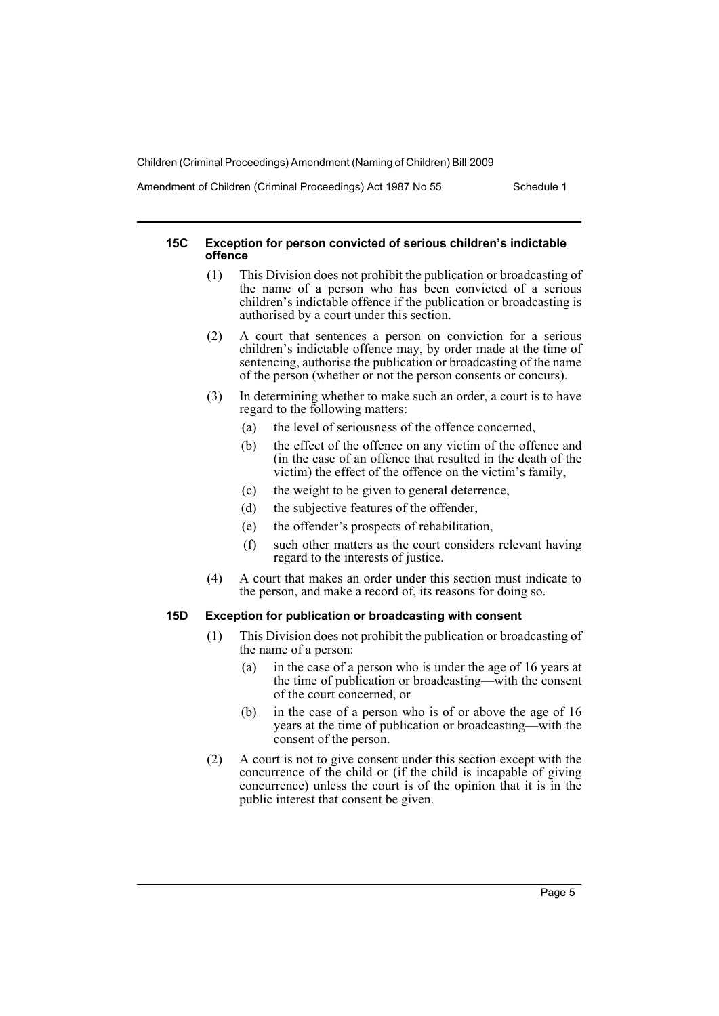Amendment of Children (Criminal Proceedings) Act 1987 No 55 Schedule 1

#### **15C Exception for person convicted of serious children's indictable offence**

- (1) This Division does not prohibit the publication or broadcasting of the name of a person who has been convicted of a serious children's indictable offence if the publication or broadcasting is authorised by a court under this section.
- (2) A court that sentences a person on conviction for a serious children's indictable offence may, by order made at the time of sentencing, authorise the publication or broadcasting of the name of the person (whether or not the person consents or concurs).
- (3) In determining whether to make such an order, a court is to have regard to the following matters:
	- (a) the level of seriousness of the offence concerned,
	- (b) the effect of the offence on any victim of the offence and (in the case of an offence that resulted in the death of the victim) the effect of the offence on the victim's family,
	- (c) the weight to be given to general deterrence,
	- (d) the subjective features of the offender,
	- (e) the offender's prospects of rehabilitation,
	- (f) such other matters as the court considers relevant having regard to the interests of justice.
- (4) A court that makes an order under this section must indicate to the person, and make a record of, its reasons for doing so.

#### **15D Exception for publication or broadcasting with consent**

- (1) This Division does not prohibit the publication or broadcasting of the name of a person:
	- (a) in the case of a person who is under the age of 16 years at the time of publication or broadcasting—with the consent of the court concerned, or
	- (b) in the case of a person who is of or above the age of 16 years at the time of publication or broadcasting—with the consent of the person.
- (2) A court is not to give consent under this section except with the concurrence of the child or (if the child is incapable of giving concurrence) unless the court is of the opinion that it is in the public interest that consent be given.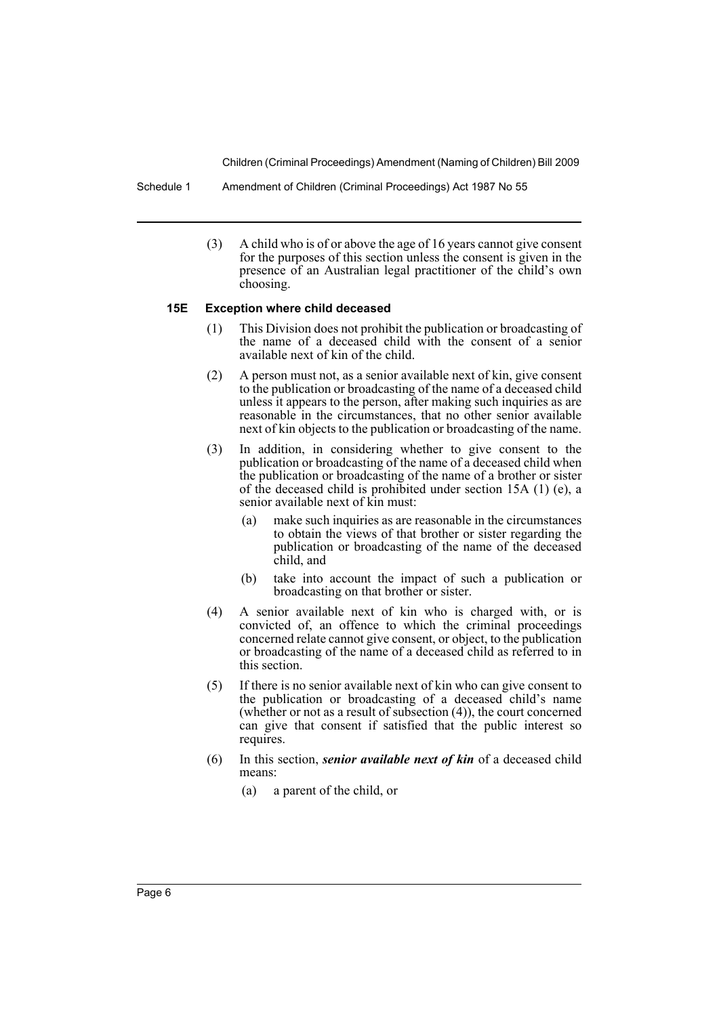Schedule 1 Amendment of Children (Criminal Proceedings) Act 1987 No 55

(3) A child who is of or above the age of 16 years cannot give consent for the purposes of this section unless the consent is given in the presence of an Australian legal practitioner of the child's own choosing.

#### **15E Exception where child deceased**

- (1) This Division does not prohibit the publication or broadcasting of the name of a deceased child with the consent of a senior available next of kin of the child.
- (2) A person must not, as a senior available next of kin, give consent to the publication or broadcasting of the name of a deceased child unless it appears to the person, after making such inquiries as are reasonable in the circumstances, that no other senior available next of kin objects to the publication or broadcasting of the name.
- (3) In addition, in considering whether to give consent to the publication or broadcasting of the name of a deceased child when the publication or broadcasting of the name of a brother or sister of the deceased child is prohibited under section 15A (1) (e), a senior available next of kin must:
	- (a) make such inquiries as are reasonable in the circumstances to obtain the views of that brother or sister regarding the publication or broadcasting of the name of the deceased child, and
	- (b) take into account the impact of such a publication or broadcasting on that brother or sister.
- (4) A senior available next of kin who is charged with, or is convicted of, an offence to which the criminal proceedings concerned relate cannot give consent, or object, to the publication or broadcasting of the name of a deceased child as referred to in this section.
- (5) If there is no senior available next of kin who can give consent to the publication or broadcasting of a deceased child's name (whether or not as a result of subsection (4)), the court concerned can give that consent if satisfied that the public interest so requires.
- (6) In this section, *senior available next of kin* of a deceased child means:
	- (a) a parent of the child, or